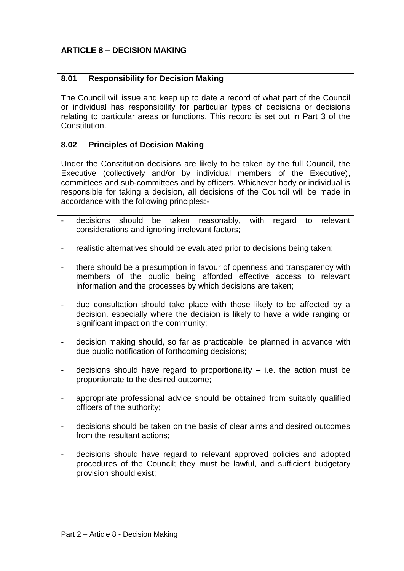#### **ARTICLE 8 – DECISION MAKING**

#### **8.01 Responsibility for Decision Making**

The Council will issue and keep up to date a record of what part of the Council or individual has responsibility for particular types of decisions or decisions relating to particular areas or functions. This record is set out in Part 3 of the Constitution.

#### **8.02 Principles of Decision Making**

Under the Constitution decisions are likely to be taken by the full Council, the Executive (collectively and/or by individual members of the Executive), committees and sub-committees and by officers. Whichever body or individual is responsible for taking a decision, all decisions of the Council will be made in accordance with the following principles:-

- decisions should be taken reasonably, with regard to relevant considerations and ignoring irrelevant factors;
- realistic alternatives should be evaluated prior to decisions being taken;
- there should be a presumption in favour of openness and transparency with members of the public being afforded effective access to relevant information and the processes by which decisions are taken;
- due consultation should take place with those likely to be affected by a decision, especially where the decision is likely to have a wide ranging or significant impact on the community;
- decision making should, so far as practicable, be planned in advance with due public notification of forthcoming decisions;
- decisions should have regard to proportionality i.e. the action must be proportionate to the desired outcome;
- appropriate professional advice should be obtained from suitably qualified officers of the authority;
- decisions should be taken on the basis of clear aims and desired outcomes from the resultant actions;
- decisions should have regard to relevant approved policies and adopted procedures of the Council; they must be lawful, and sufficient budgetary provision should exist;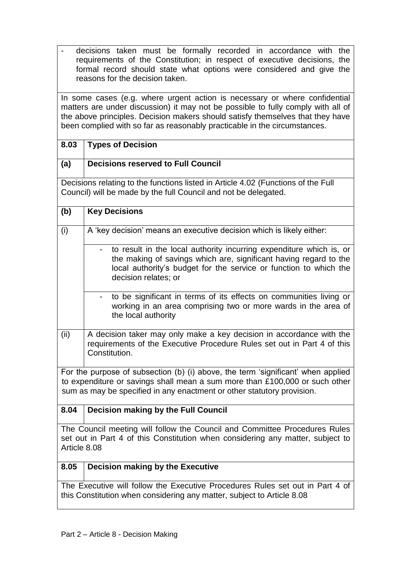- decisions taken must be formally recorded in accordance with the requirements of the Constitution; in respect of executive decisions, the formal record should state what options were considered and give the reasons for the decision taken.

In some cases (e.g. where urgent action is necessary or where confidential matters are under discussion) it may not be possible to fully comply with all of the above principles. Decision makers should satisfy themselves that they have been complied with so far as reasonably practicable in the circumstances.

|  | 8.03   Types of Decision |
|--|--------------------------|
|--|--------------------------|

 $\overline{\phantom{a}}$ 

| (a) | Decisions reserved to Full Council |
|-----|------------------------------------|
|-----|------------------------------------|

Decisions relating to the functions listed in Article 4.02 (Functions of the Full Council) will be made by the full Council and not be delegated.

| (b)                                                                                                                                                                                                                                       | <b>Key Decisions</b>                                                                                                                                                                                                                  |
|-------------------------------------------------------------------------------------------------------------------------------------------------------------------------------------------------------------------------------------------|---------------------------------------------------------------------------------------------------------------------------------------------------------------------------------------------------------------------------------------|
| (i)                                                                                                                                                                                                                                       | A 'key decision' means an executive decision which is likely either:                                                                                                                                                                  |
|                                                                                                                                                                                                                                           | to result in the local authority incurring expenditure which is, or<br>the making of savings which are, significant having regard to the<br>local authority's budget for the service or function to which the<br>decision relates; or |
|                                                                                                                                                                                                                                           | to be significant in terms of its effects on communities living or<br>working in an area comprising two or more wards in the area of<br>the local authority                                                                           |
| (ii)                                                                                                                                                                                                                                      | A decision taker may only make a key decision in accordance with the<br>requirements of the Executive Procedure Rules set out in Part 4 of this<br>Constitution.                                                                      |
| For the purpose of subsection (b) (i) above, the term 'significant' when applied<br>to expenditure or savings shall mean a sum more than £100,000 or such other<br>sum as may be specified in any enactment or other statutory provision. |                                                                                                                                                                                                                                       |
| 8.04                                                                                                                                                                                                                                      | <b>Decision making by the Full Council</b>                                                                                                                                                                                            |
| The Council meeting will follow the Council and Committee Procedures Rules<br>set out in Part 4 of this Constitution when considering any matter, subject to<br>Article 8.08                                                              |                                                                                                                                                                                                                                       |
| 8.05                                                                                                                                                                                                                                      | <b>Decision making by the Executive</b>                                                                                                                                                                                               |
| The Executive will follow the Executive Procedures Rules set out in Part 4 of<br>this Constitution when considering any matter, subject to Article 8.08                                                                                   |                                                                                                                                                                                                                                       |